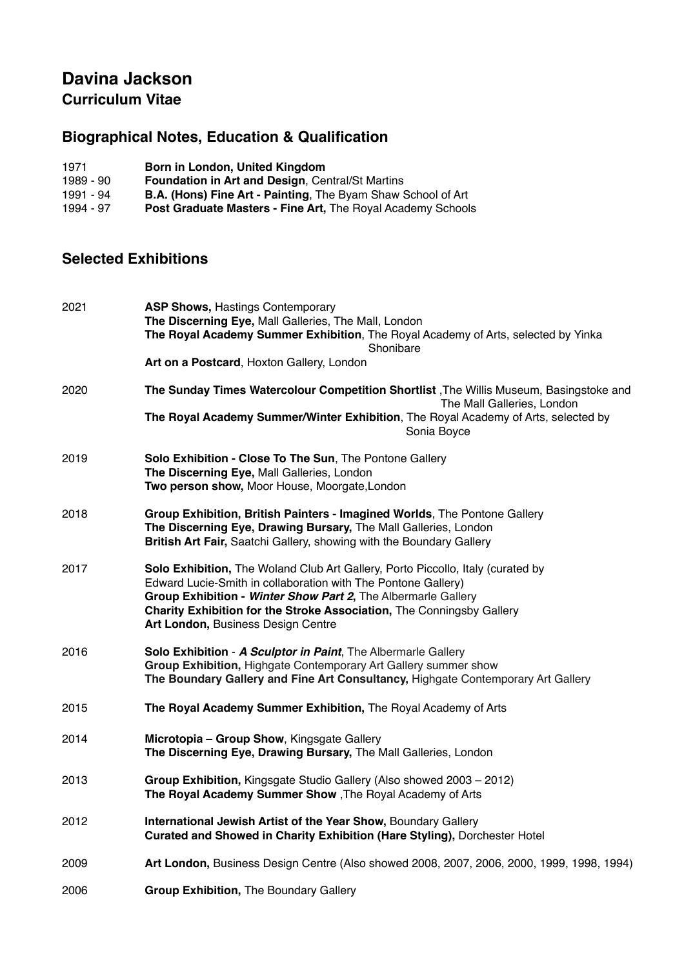### **Davina Jackson Curriculum Vitae**

## **Biographical Notes, Education & Qualification**

| 1971      | Born in London, United Kingdom                                      |
|-----------|---------------------------------------------------------------------|
| 1989 - 90 | Foundation in Art and Design, Central/St Martins                    |
| 1991 - 94 | <b>B.A. (Hons) Fine Art - Painting, The Byam Shaw School of Art</b> |
| 1994 - 97 | Post Graduate Masters - Fine Art, The Royal Academy Schools         |

#### **Selected Exhibitions**

| <b>ASP Shows, Hastings Contemporary</b><br>The Discerning Eye, Mall Galleries, The Mall, London<br>The Royal Academy Summer Exhibition, The Royal Academy of Arts, selected by Yinka<br>Shonibare                                                                                                                                |
|----------------------------------------------------------------------------------------------------------------------------------------------------------------------------------------------------------------------------------------------------------------------------------------------------------------------------------|
| Art on a Postcard, Hoxton Gallery, London                                                                                                                                                                                                                                                                                        |
| The Sunday Times Watercolour Competition Shortlist, The Willis Museum, Basingstoke and<br>The Mall Galleries, London<br>The Royal Academy Summer/Winter Exhibition, The Royal Academy of Arts, selected by<br>Sonia Boyce                                                                                                        |
| Solo Exhibition - Close To The Sun, The Pontone Gallery<br>The Discerning Eye, Mall Galleries, London<br>Two person show, Moor House, Moorgate, London                                                                                                                                                                           |
| Group Exhibition, British Painters - Imagined Worlds, The Pontone Gallery<br>The Discerning Eye, Drawing Bursary, The Mall Galleries, London<br>British Art Fair, Saatchi Gallery, showing with the Boundary Gallery                                                                                                             |
| Solo Exhibition, The Woland Club Art Gallery, Porto Piccollo, Italy (curated by<br>Edward Lucie-Smith in collaboration with The Pontone Gallery)<br>Group Exhibition - Winter Show Part 2, The Albermarle Gallery<br>Charity Exhibition for the Stroke Association, The Conningsby Gallery<br>Art London, Business Design Centre |
| Solo Exhibition - A Sculptor in Paint, The Albermarle Gallery<br>Group Exhibition, Highgate Contemporary Art Gallery summer show<br>The Boundary Gallery and Fine Art Consultancy, Highgate Contemporary Art Gallery                                                                                                             |
| The Royal Academy Summer Exhibition, The Royal Academy of Arts                                                                                                                                                                                                                                                                   |
| Microtopia - Group Show, Kingsgate Gallery<br>The Discerning Eye, Drawing Bursary, The Mall Galleries, London                                                                                                                                                                                                                    |
| Group Exhibition, Kingsgate Studio Gallery (Also showed 2003 - 2012)<br>The Royal Academy Summer Show, The Royal Academy of Arts                                                                                                                                                                                                 |
| International Jewish Artist of the Year Show, Boundary Gallery<br>Curated and Showed in Charity Exhibition (Hare Styling), Dorchester Hotel                                                                                                                                                                                      |
| Art London, Business Design Centre (Also showed 2008, 2007, 2006, 2000, 1999, 1998, 1994)                                                                                                                                                                                                                                        |
| <b>Group Exhibition, The Boundary Gallery</b>                                                                                                                                                                                                                                                                                    |
|                                                                                                                                                                                                                                                                                                                                  |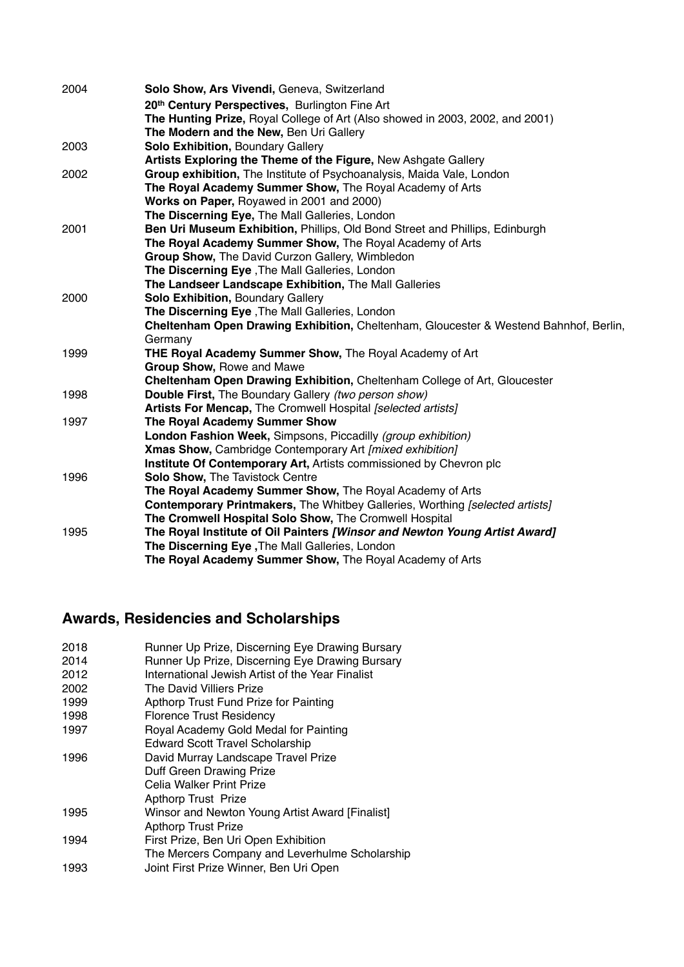| 2004 | Solo Show, Ars Vivendi, Geneva, Switzerland                                           |
|------|---------------------------------------------------------------------------------------|
|      | 20th Century Perspectives, Burlington Fine Art                                        |
|      | The Hunting Prize, Royal College of Art (Also showed in 2003, 2002, and 2001)         |
|      | The Modern and the New, Ben Uri Gallery                                               |
| 2003 | <b>Solo Exhibition, Boundary Gallery</b>                                              |
|      | Artists Exploring the Theme of the Figure, New Ashgate Gallery                        |
| 2002 | Group exhibition, The Institute of Psychoanalysis, Maida Vale, London                 |
|      | The Royal Academy Summer Show, The Royal Academy of Arts                              |
|      | Works on Paper, Royawed in 2001 and 2000)                                             |
|      | The Discerning Eye, The Mall Galleries, London                                        |
| 2001 | Ben Uri Museum Exhibition, Phillips, Old Bond Street and Phillips, Edinburgh          |
|      | The Royal Academy Summer Show, The Royal Academy of Arts                              |
|      | Group Show, The David Curzon Gallery, Wimbledon                                       |
|      | The Discerning Eye, The Mall Galleries, London                                        |
|      | The Landseer Landscape Exhibition, The Mall Galleries                                 |
| 2000 | <b>Solo Exhibition, Boundary Gallery</b>                                              |
|      | The Discerning Eye, The Mall Galleries, London                                        |
|      | Cheltenham Open Drawing Exhibition, Cheltenham, Gloucester & Westend Bahnhof, Berlin, |
|      | Germany                                                                               |
| 1999 | THE Royal Academy Summer Show, The Royal Academy of Art                               |
|      | Group Show, Rowe and Mawe                                                             |
|      | Cheltenham Open Drawing Exhibition, Cheltenham College of Art, Gloucester             |
| 1998 | Double First, The Boundary Gallery (two person show)                                  |
|      | Artists For Mencap, The Cromwell Hospital [selected artists]                          |
| 1997 | <b>The Royal Academy Summer Show</b>                                                  |
|      | London Fashion Week, Simpsons, Piccadilly (group exhibition)                          |
|      | Xmas Show, Cambridge Contemporary Art [mixed exhibition]                              |
|      | Institute Of Contemporary Art, Artists commissioned by Chevron plc                    |
| 1996 | Solo Show, The Tavistock Centre                                                       |
|      | The Royal Academy Summer Show, The Royal Academy of Arts                              |
|      | <b>Contemporary Printmakers, The Whitbey Galleries, Worthing [selected artists]</b>   |
|      | The Cromwell Hospital Solo Show, The Cromwell Hospital                                |
| 1995 | The Royal Institute of Oil Painters [Winsor and Newton Young Artist Award]            |
|      | The Discerning Eye, The Mall Galleries, London                                        |
|      | The Royal Academy Summer Show, The Royal Academy of Arts                              |

# **Awards, Residencies and Scholarships**

| 2018 | Runner Up Prize, Discerning Eye Drawing Bursary  |
|------|--------------------------------------------------|
| 2014 | Runner Up Prize, Discerning Eye Drawing Bursary  |
| 2012 | International Jewish Artist of the Year Finalist |
| 2002 | The David Villiers Prize                         |
| 1999 | Apthorp Trust Fund Prize for Painting            |
| 1998 | <b>Florence Trust Residency</b>                  |
| 1997 | Royal Academy Gold Medal for Painting            |
|      | <b>Edward Scott Travel Scholarship</b>           |
| 1996 | David Murray Landscape Travel Prize              |
|      | Duff Green Drawing Prize                         |
|      | Celia Walker Print Prize                         |
|      | <b>Apthorp Trust Prize</b>                       |
| 1995 | Winsor and Newton Young Artist Award [Finalist]  |
|      | <b>Apthorp Trust Prize</b>                       |
| 1994 | First Prize, Ben Uri Open Exhibition             |
|      | The Mercers Company and Leverhulme Scholarship   |
| 1993 | Joint First Prize Winner, Ben Uri Open           |
|      |                                                  |